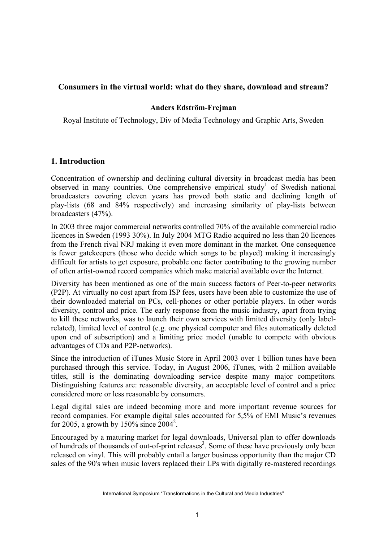## **Consumers in the virtual world: what do they share, download and stream?**

## **Anders Edström-Frejman**

Royal Institute of Technology, Div of Media Technology and Graphic Arts, Sweden

## **1. Introduction**

Concentration of ownership and declining cultural diversity in broadcast media has been observed in many countries. One comprehensive empirical study<sup>1</sup> of Swedish national broadcasters covering eleven years has proved both static and declining length of play-lists (68 and 84% respectively) and increasing similarity of play-lists between broadcasters (47%).

In 2003 three major commercial networks controlled 70% of the available commercial radio licences in Sweden (1993 30%). In July 2004 MTG Radio acquired no less than 20 licences from the French rival NRJ making it even more dominant in the market. One consequence is fewer gatekeepers (those who decide which songs to be played) making it increasingly difficult for artists to get exposure, probable one factor contributing to the growing number of often artist-owned record companies which make material available over the Internet.

Diversity has been mentioned as one of the main success factors of Peer-to-peer networks (P2P). At virtually no cost apart from ISP fees, users have been able to customize the use of their downloaded material on PCs, cell-phones or other portable players. In other words diversity, control and price. The early response from the music industry, apart from trying to kill these networks, was to launch their own services with limited diversity (only labelrelated), limited level of control (e.g. one physical computer and files automatically deleted upon end of subscription) and a limiting price model (unable to compete with obvious advantages of CDs and P2P-networks).

Since the introduction of iTunes Music Store in April 2003 over 1 billion tunes have been purchased through this service. Today, in August 2006, iTunes, with 2 million available titles, still is the dominating downloading service despite many major competitors. Distinguishing features are: reasonable diversity, an acceptable level of control and a price considered more or less reasonable by consumers.

Legal digital sales are indeed becoming more and more important revenue sources for record companies. For example digital sales accounted for 5,5% of EMI Music's revenues for 2005, a growth by 150% since  $2004^2$ .

Encouraged by a maturing market for legal downloads, Universal plan to offer downloads of hundreds of thousands of out-of-print releases<sup>3</sup>. Some of these have previously only been released on vinyl. This will probably entail a larger business opportunity than the major CD sales of the 90's when music lovers replaced their LPs with digitally re-mastered recordings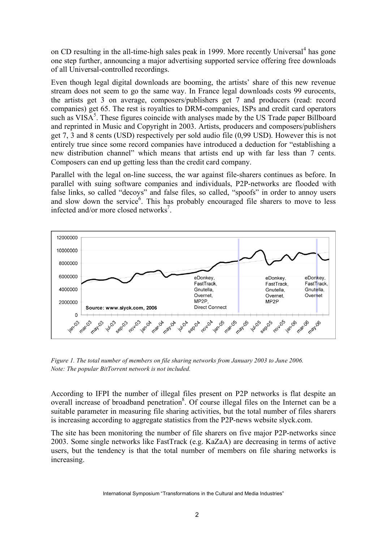on CD resulting in the all-time-high sales peak in 1999. More recently Universal<sup>4</sup> has gone one step further, announcing a major advertising supported service offering free downloads of all Universal-controlled recordings.

Even though legal digital downloads are booming, the artists' share of this new revenue stream does not seem to go the same way. In France legal downloads costs 99 eurocents, the artists get 3 on average, composers/publishers get 7 and producers (read: record companies) get 65. The rest is royalties to DRM-companies, ISPs and credit card operators such as  $VISA<sup>5</sup>$ . These figures coincide with analyses made by the US Trade paper Billboard and reprinted in Music and Copyright in 2003. Artists, producers and composers/publishers get 7, 3 and 8 cents (USD) respectively per sold audio file (0,99 USD). However this is not entirely true since some record companies have introduced a deduction for "establishing a new distribution channel" which means that artists end up with far less than 7 cents. Composers can end up getting less than the credit card company.

Parallel with the legal on-line success, the war against file-sharers continues as before. In parallel with suing software companies and individuals, P2P-networks are flooded with false links, so called "decoys" and false files, so called, "spoofs" in order to annoy users and slow down the service<sup>6</sup>. This has probably encouraged file sharers to move to less infected and/or more closed networks<sup>7</sup>.



*Figure 1. The total number of members on file sharing networks from January 2003 to June 2006. Note: The popular BitTorrent network is not included.*

According to IFPI the number of illegal files present on P2P networks is flat despite an overall increase of broadband penetration<sup>8</sup>. Of course illegal files on the Internet can be a suitable parameter in measuring file sharing activities, but the total number of files sharers is increasing according to aggregate statistics from the P2P-news website slyck.com.

The site has been monitoring the number of file sharers on five major P2P-networks since 2003. Some single networks like FastTrack (e.g. KaZaA) are decreasing in terms of active users, but the tendency is that the total number of members on file sharing networks is increasing.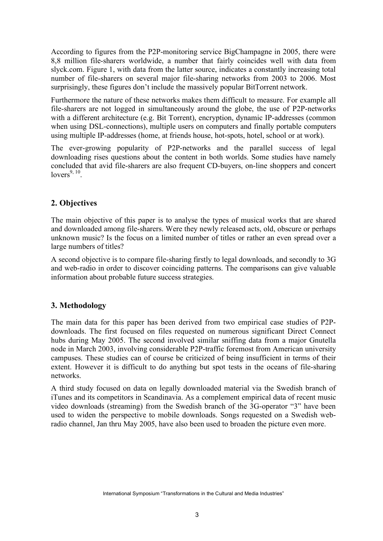According to figures from the P2P-monitoring service BigChampagne in 2005, there were 8,8 million file-sharers worldwide, a number that fairly coincides well with data from slyck.com. Figure 1, with data from the latter source, indicates a constantly increasing total number of file-sharers on several major file-sharing networks from 2003 to 2006. Most surprisingly, these figures don't include the massively popular BitTorrent network.

Furthermore the nature of these networks makes them difficult to measure. For example all file-sharers are not logged in simultaneously around the globe, the use of P2P-networks with a different architecture (e.g. Bit Torrent), encryption, dynamic IP-addresses (common when using DSL-connections), multiple users on computers and finally portable computers using multiple IP-addresses (home, at friends house, hot-spots, hotel, school or at work).

The ever-growing popularity of P2P-networks and the parallel success of legal downloading rises questions about the content in both worlds. Some studies have namely concluded that avid file-sharers are also frequent CD-buyers, on-line shoppers and concert  $lovers<sup>9, 10</sup>$ .

# **2. Objectives**

The main objective of this paper is to analyse the types of musical works that are shared and downloaded among file-sharers. Were they newly released acts, old, obscure or perhaps unknown music? Is the focus on a limited number of titles or rather an even spread over a large numbers of titles?

A second objective is to compare file-sharing firstly to legal downloads, and secondly to 3G and web-radio in order to discover coinciding patterns. The comparisons can give valuable information about probable future success strategies.

# **3. Methodology**

The main data for this paper has been derived from two empirical case studies of P2Pdownloads. The first focused on files requested on numerous significant Direct Connect hubs during May 2005. The second involved similar sniffing data from a major Gnutella node in March 2003, involving considerable P2P-traffic foremost from American university campuses. These studies can of course be criticized of being insufficient in terms of their extent. However it is difficult to do anything but spot tests in the oceans of file-sharing networks.

A third study focused on data on legally downloaded material via the Swedish branch of iTunes and its competitors in Scandinavia. As a complement empirical data of recent music video downloads (streaming) from the Swedish branch of the 3G-operator "3" have been used to widen the perspective to mobile downloads. Songs requested on a Swedish webradio channel, Jan thru May 2005, have also been used to broaden the picture even more.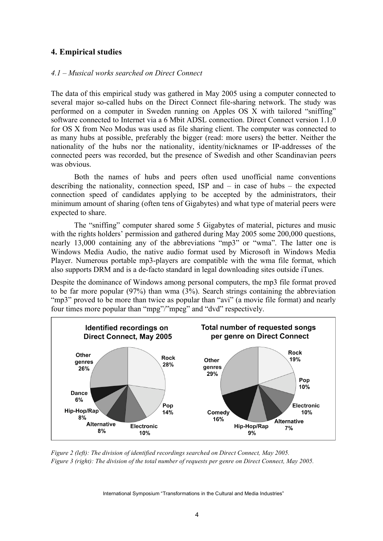# **4. Empirical studies**

### *4.1 – Musical works searched on Direct Connect*

The data of this empirical study was gathered in May 2005 using a computer connected to several major so-called hubs on the Direct Connect file-sharing network. The study was performed on a computer in Sweden running on Apples OS X with tailored "sniffing" software connected to Internet via a 6 Mbit ADSL connection. Direct Connect version 1.1.0 for OS X from Neo Modus was used as file sharing client. The computer was connected to as many hubs at possible, preferably the bigger (read: more users) the better. Neither the nationality of the hubs nor the nationality, identity/nicknames or IP-addresses of the connected peers was recorded, but the presence of Swedish and other Scandinavian peers was obvious.

Both the names of hubs and peers often used unofficial name conventions describing the nationality, connection speed, ISP and – in case of hubs – the expected connection speed of candidates applying to be accepted by the administrators, their minimum amount of sharing (often tens of Gigabytes) and what type of material peers were expected to share.

The "sniffing" computer shared some 5 Gigabytes of material, pictures and music with the rights holders' permission and gathered during May 2005 some 200,000 questions, nearly 13,000 containing any of the abbreviations "mp3" or "wma". The latter one is Windows Media Audio, the native audio format used by Microsoft in Windows Media Player. Numerous portable mp3-players are compatible with the wma file format, which also supports DRM and is a de-facto standard in legal downloading sites outside iTunes.

Despite the dominance of Windows among personal computers, the mp3 file format proved to be far more popular (97%) than wma (3%). Search strings containing the abbreviation "mp3" proved to be more than twice as popular than "avi" (a movie file format) and nearly four times more popular than "mpg"/"mpeg" and "dvd" respectively.



*Figure 2 (left): The division of identified recordings searched on Direct Connect, May 2005.* Figure 3 (right): The division of the total number of requests per genre on Direct Connect, May 2005.

International Symposium "Transformations in the Cultural and Media Industries"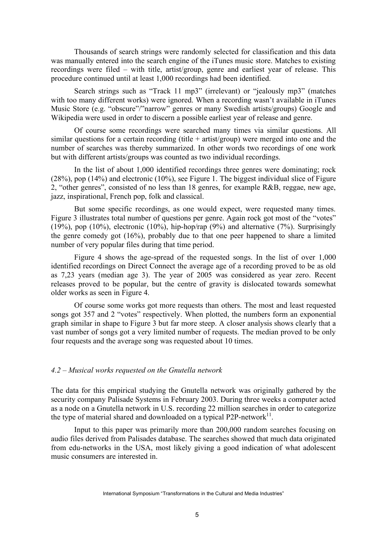Thousands of search strings were randomly selected for classification and this data was manually entered into the search engine of the iTunes music store. Matches to existing recordings were filed – with title, artist/group, genre and earliest year of release. This procedure continued until at least 1,000 recordings had been identified.

Search strings such as "Track 11 mp3" (irrelevant) or "jealously mp3" (matches with too many different works) were ignored. When a recording wasn't available in iTunes Music Store (e.g. "obscure"/"narrow" genres or many Swedish artists/groups) Google and Wikipedia were used in order to discern a possible earliest year of release and genre.

Of course some recordings were searched many times via similar questions. All similar questions for a certain recording (title  $+$  artist/group) were merged into one and the number of searches was thereby summarized. In other words two recordings of one work but with different artists/groups was counted as two individual recordings.

In the list of about 1,000 identified recordings three genres were dominating; rock (28%), pop (14%) and electronic (10%), see Figure 1. The biggest individual slice of Figure 2, "other genres", consisted of no less than 18 genres, for example R&B, reggae, new age, jazz, inspirational, French pop, folk and classical.

But some specific recordings, as one would expect, were requested many times. Figure 3 illustrates total number of questions per genre. Again rock got most of the "votes" (19%), pop (10%), electronic (10%), hip-hop/rap (9%) and alternative (7%). Surprisingly the genre comedy got (16%), probably due to that one peer happened to share a limited number of very popular files during that time period.

Figure 4 shows the age-spread of the requested songs. In the list of over 1,000 identified recordings on Direct Connect the average age of a recording proved to be as old as 7,23 years (median age 3). The year of 2005 was considered as year zero. Recent releases proved to be popular, but the centre of gravity is dislocated towards somewhat older works as seen in Figure 4.

Of course some works got more requests than others. The most and least requested songs got 357 and 2 "votes" respectively. When plotted, the numbers form an exponential graph similar in shape to Figure 3 but far more steep. A closer analysis shows clearly that a vast number of songs got a very limited number of requests. The median proved to be only four requests and the average song was requested about 10 times.

## *4.2 – Musical works requested on the Gnutella network*

The data for this empirical studying the Gnutella network was originally gathered by the security company Palisade Systems in February 2003. During three weeks a computer acted as a node on a Gnutella network in U.S. recording 22 million searches in order to categorize the type of material shared and downloaded on a typical P2P-network $11$ .

Input to this paper was primarily more than 200,000 random searches focusing on audio files derived from Palisades database. The searches showed that much data originated from edu-networks in the USA, most likely giving a good indication of what adolescent music consumers are interested in.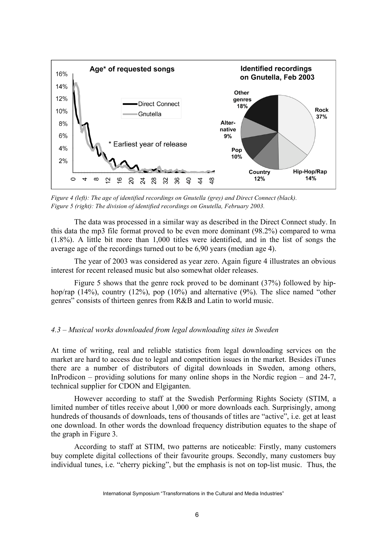

*Figure 4 (left): The age of identified recordings on Gnutella (grey) and Direct Connect (black). Figure 5 (right): The division of identified recordings on Gnutella, February 2003.*

The data was processed in a similar way as described in the Direct Connect study. In this data the mp3 file format proved to be even more dominant (98.2%) compared to wma (1.8%). A little bit more than 1,000 titles were identified, and in the list of songs the average age of the recordings turned out to be 6,90 years (median age 4).

The year of 2003 was considered as year zero. Again figure 4 illustrates an obvious interest for recent released music but also somewhat older releases.

Figure 5 shows that the genre rock proved to be dominant (37%) followed by hiphop/rap (14%), country (12%), pop (10%) and alternative (9%). The slice named "other genres" consists of thirteen genres from R&B and Latin to world music.

#### *4.3 – Musical works downloaded from legal downloading sites in Sweden*

At time of writing, real and reliable statistics from legal downloading services on the market are hard to access due to legal and competition issues in the market. Besides iTunes there are a number of distributors of digital downloads in Sweden, among others, InProdicon – providing solutions for many online shops in the Nordic region – and 24-7, technical supplier for CDON and Elgiganten.

However according to staff at the Swedish Performing Rights Society (STIM, a limited number of titles receive about 1,000 or more downloads each. Surprisingly, among hundreds of thousands of downloads, tens of thousands of titles are "active", i.e. get at least one download. In other words the download frequency distribution equates to the shape of the graph in Figure 3.

According to staff at STIM, two patterns are noticeable: Firstly, many customers buy complete digital collections of their favourite groups. Secondly, many customers buy individual tunes, i.e. "cherry picking", but the emphasis is not on top-list music. Thus, the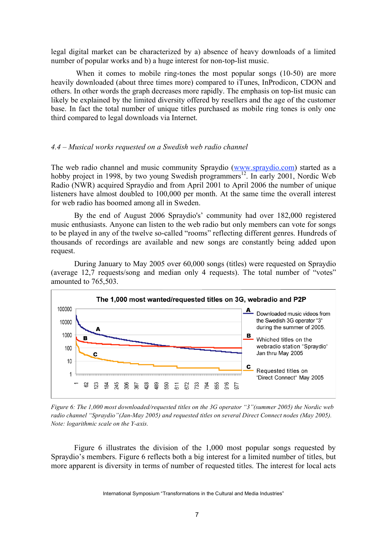legal digital market can be characterized by a) absence of heavy downloads of a limited number of popular works and b) a huge interest for non-top-list music.

When it comes to mobile ring-tones the most popular songs (10-50) are more heavily downloaded (about three times more) compared to iTunes, InProdicon, CDON and others. In other words the graph decreases more rapidly. The emphasis on top-list music can likely be explained by the limited diversity offered by resellers and the age of the customer base. In fact the total number of unique titles purchased as mobile ring tones is only one third compared to legal downloads via Internet.

## *4.4 – Musical works requested on a Swedish web radio channel*

The web radio channel and music community Spraydio (www.spraydio.com) started as a hobby project in 1998, by two young Swedish programmers<sup>12</sup>. In early 2001, Nordic Web Radio (NWR) acquired Spraydio and from April 2001 to April 2006 the number of unique listeners have almost doubled to 100,000 per month. At the same time the overall interest for web radio has boomed among all in Sweden.

By the end of August 2006 Spraydio's' community had over 182,000 registered music enthusiasts. Anyone can listen to the web radio but only members can vote for songs to be played in any of the twelve so-called "rooms" reflecting different genres. Hundreds of thousands of recordings are available and new songs are constantly being added upon request.

During January to May 2005 over 60,000 songs (titles) were requested on Spraydio (average 12,7 requests/song and median only 4 requests). The total number of "votes" amounted to 765,503.



*Figure 6: The 1,000 most downloaded/requested titles on the 3G operator "3"(summer 2005) the Nordic web radio channel "Spraydio"(Jan-May 2005) and requested titles on several Direct Connect nodes (May 2005). Note: logarithmic scale on the Y-axis.*

Figure 6 illustrates the division of the 1,000 most popular songs requested by Spraydio's members. Figure 6 reflects both a big interest for a limited number of titles, but more apparent is diversity in terms of number of requested titles. The interest for local acts

International Symposium "Transformations in the Cultural and Media Industries"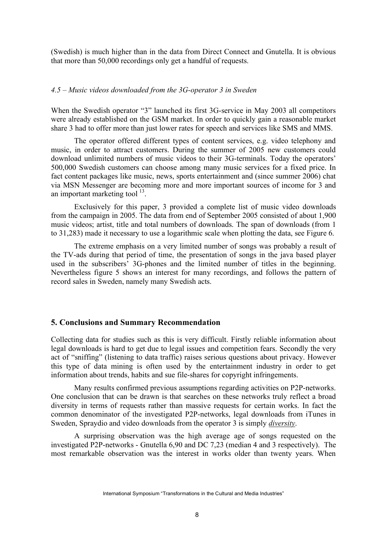(Swedish) is much higher than in the data from Direct Connect and Gnutella. It is obvious that more than 50,000 recordings only get a handful of requests.

#### *4.5 – Music videos downloaded from the 3G-operator 3 in Sweden*

When the Swedish operator "3" launched its first 3G-service in May 2003 all competitors were already established on the GSM market. In order to quickly gain a reasonable market share 3 had to offer more than just lower rates for speech and services like SMS and MMS.

The operator offered different types of content services, e.g. video telephony and music, in order to attract customers. During the summer of 2005 new customers could download unlimited numbers of music videos to their 3G-terminals. Today the operators' 500,000 Swedish customers can choose among many music services for a fixed price. In fact content packages like music, news, sports entertainment and (since summer 2006) chat via MSN Messenger are becoming more and more important sources of income for 3 and an important marketing tool  $13$ .

Exclusively for this paper, 3 provided a complete list of music video downloads from the campaign in 2005. The data from end of September 2005 consisted of about 1,900 music videos; artist, title and total numbers of downloads. The span of downloads (from 1 to 31,283) made it necessary to use a logarithmic scale when plotting the data, see Figure 6.

The extreme emphasis on a very limited number of songs was probably a result of the TV-ads during that period of time, the presentation of songs in the java based player used in the subscribers' 3G-phones and the limited number of titles in the beginning. Nevertheless figure 5 shows an interest for many recordings, and follows the pattern of record sales in Sweden, namely many Swedish acts.

### **5. Conclusions and Summary Recommendation**

Collecting data for studies such as this is very difficult. Firstly reliable information about legal downloads is hard to get due to legal issues and competition fears. Secondly the very act of "sniffing" (listening to data traffic) raises serious questions about privacy. However this type of data mining is often used by the entertainment industry in order to get information about trends, habits and sue file-shares for copyright infringements.

Many results confirmed previous assumptions regarding activities on P2P-networks. One conclusion that can be drawn is that searches on these networks truly reflect a broad diversity in terms of requests rather than massive requests for certain works. In fact the common denominator of the investigated P2P-networks, legal downloads from iTunes in Sweden, Spraydio and video downloads from the operator 3 is simply *diversity*.

A surprising observation was the high average age of songs requested on the investigated P2P-networks - Gnutella 6,90 and DC 7,23 (median 4 and 3 respectively). The most remarkable observation was the interest in works older than twenty years. When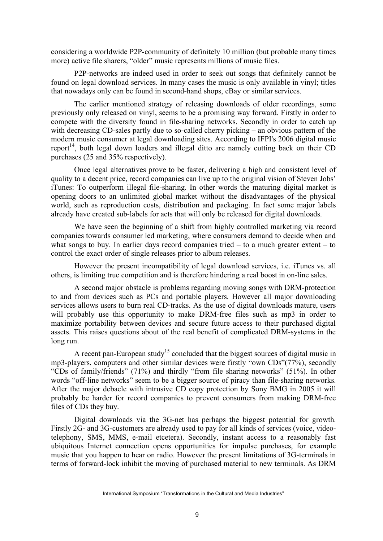considering a worldwide P2P-community of definitely 10 million (but probable many times more) active file sharers, "older" music represents millions of music files.

P2P-networks are indeed used in order to seek out songs that definitely cannot be found on legal download services. In many cases the music is only available in vinyl; titles that nowadays only can be found in second-hand shops, eBay or similar services.

The earlier mentioned strategy of releasing downloads of older recordings, some previously only released on vinyl, seems to be a promising way forward. Firstly in order to compete with the diversity found in file-sharing networks. Secondly in order to catch up with decreasing CD-sales partly due to so-called cherry picking – an obvious pattern of the modern music consumer at legal downloading sites. According to IFPI's 2006 digital music report<sup>14</sup>, both legal down loaders and illegal ditto are namely cutting back on their CD purchases (25 and 35% respectively).

Once legal alternatives prove to be faster, delivering a high and consistent level of quality to a decent price, record companies can live up to the original vision of Steven Jobs' iTunes: To outperform illegal file-sharing. In other words the maturing digital market is opening doors to an unlimited global market without the disadvantages of the physical world, such as reproduction costs, distribution and packaging. In fact some major labels already have created sub-labels for acts that will only be released for digital downloads.

We have seen the beginning of a shift from highly controlled marketing via record companies towards consumer led marketing, where consumers demand to decide when and what songs to buy. In earlier days record companies tried – to a much greater extent – to control the exact order of single releases prior to album releases.

However the present incompatibility of legal download services, i.e. iTunes vs. all others, is limiting true competition and is therefore hindering a real boost in on-line sales.

A second major obstacle is problems regarding moving songs with DRM-protection to and from devices such as PCs and portable players. However all major downloading services allows users to burn real CD-tracks. As the use of digital downloads mature, users will probably use this opportunity to make DRM-free files such as mp3 in order to maximize portability between devices and secure future access to their purchased digital assets. This raises questions about of the real benefit of complicated DRM-systems in the long run.

A recent pan-European study<sup>15</sup> concluded that the biggest sources of digital music in mp3-players, computers and other similar devices were firstly "own CDs"(77%), secondly "CDs of family/friends" (71%) and thirdly "from file sharing networks" (51%). In other words "off-line networks" seem to be a bigger source of piracy than file-sharing networks. After the major debacle with intrusive CD copy protection by Sony BMG in 2005 it will probably be harder for record companies to prevent consumers from making DRM-free files of CDs they buy.

Digital downloads via the 3G-net has perhaps the biggest potential for growth. Firstly 2G- and 3G-customers are already used to pay for all kinds of services (voice, videotelephony, SMS, MMS, e-mail etcetera). Secondly, instant access to a reasonably fast ubiquitous Internet connection opens opportunities for impulse purchases, for example music that you happen to hear on radio. However the present limitations of 3G-terminals in terms of forward-lock inhibit the moving of purchased material to new terminals. As DRM